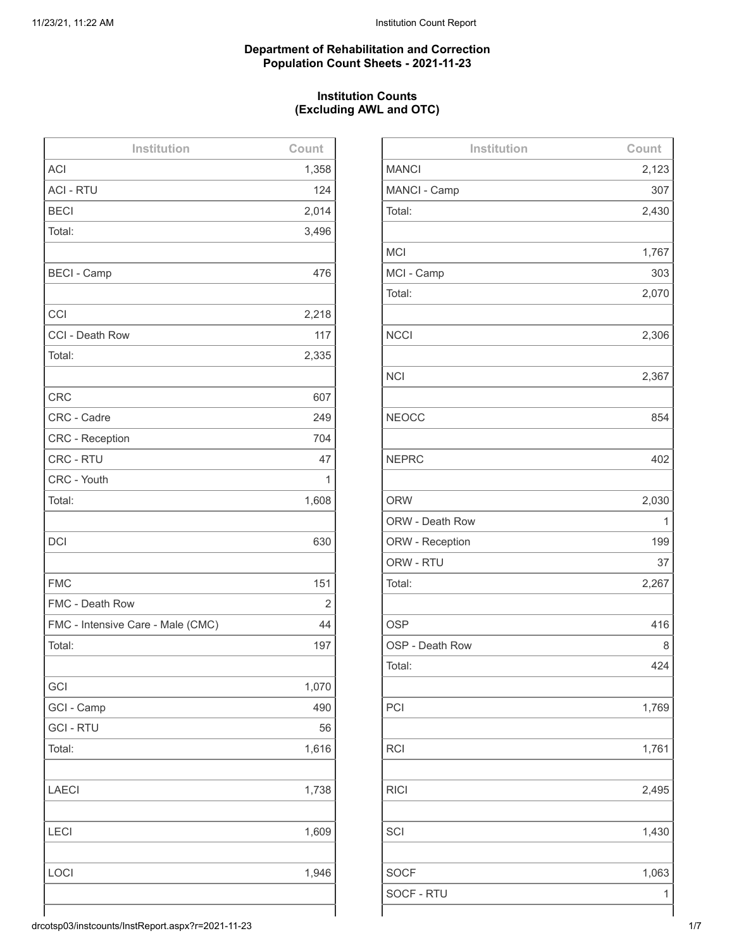#### **Department of Rehabilitation and Correction Population Count Sheets - 2021-11-23**

## **Institution Counts (Excluding AWL and OTC)**

| Institution                       | Count |
|-----------------------------------|-------|
| <b>ACI</b>                        | 1,358 |
| <b>ACI - RTU</b>                  | 124   |
| <b>BECI</b>                       | 2,014 |
| Total:                            | 3,496 |
|                                   |       |
| <b>BECI - Camp</b>                | 476   |
|                                   |       |
| CCI                               | 2,218 |
| CCI - Death Row                   | 117   |
| Total:                            | 2,335 |
|                                   |       |
| <b>CRC</b>                        | 607   |
| CRC - Cadre                       | 249   |
| <b>CRC - Reception</b>            | 704   |
| CRC - RTU                         | 47    |
| CRC - Youth                       | 1     |
| Total:                            | 1,608 |
|                                   |       |
| <b>DCI</b>                        | 630   |
|                                   |       |
| <b>FMC</b>                        | 151   |
| FMC - Death Row                   | 2     |
| FMC - Intensive Care - Male (CMC) | 44    |
| Total:                            | 197   |
|                                   |       |
| GCI                               | 1,070 |
| GCI - Camp                        | 490   |
| <b>GCI - RTU</b>                  | 56    |
| Total:                            | 1,616 |
|                                   |       |
| <b>LAECI</b>                      | 1,738 |
|                                   |       |
| LECI                              | 1,609 |
|                                   |       |
| LOCI                              | 1,946 |
|                                   |       |
|                                   |       |

| Institution     | Count |
|-----------------|-------|
| <b>MANCI</b>    | 2,123 |
| MANCI - Camp    | 307   |
| Total:          | 2,430 |
|                 |       |
| <b>MCI</b>      | 1,767 |
| MCI - Camp      | 303   |
| Total:          | 2,070 |
|                 |       |
| <b>NCCI</b>     | 2,306 |
|                 |       |
| <b>NCI</b>      | 2,367 |
|                 |       |
| <b>NEOCC</b>    | 854   |
|                 |       |
| <b>NEPRC</b>    | 402   |
|                 |       |
| <b>ORW</b>      | 2,030 |
| ORW - Death Row | 1     |
| ORW - Reception | 199   |
| ORW - RTU       | 37    |
| Total:          | 2,267 |
|                 |       |
| <b>OSP</b>      | 416   |
| OSP - Death Row | 8     |
| Total:          | 424   |
|                 |       |
| PCI             | 1,769 |
|                 |       |
| <b>RCI</b>      | 1,761 |
|                 |       |
| <b>RICI</b>     | 2,495 |
|                 |       |
| SCI             | 1,430 |
|                 |       |
| <b>SOCF</b>     | 1,063 |
| SOCF - RTU      | 1     |
|                 |       |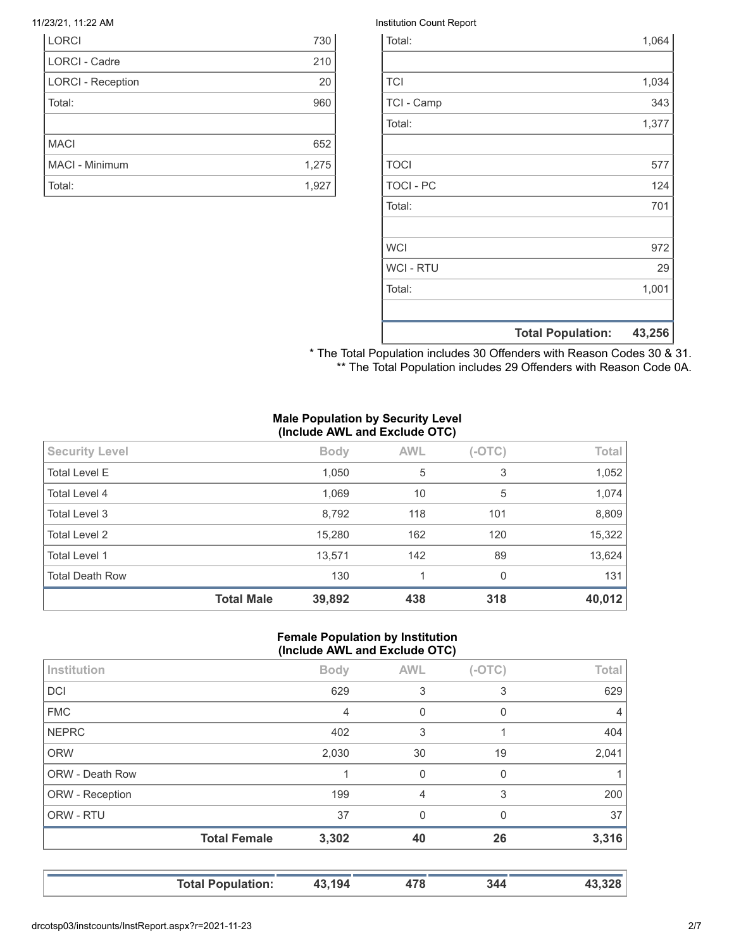| <b>LORCI</b> |                          | 730   |
|--------------|--------------------------|-------|
|              | <b>LORCI - Cadre</b>     | 210   |
|              | <b>LORCI - Reception</b> | 20    |
| Total:       |                          | 960   |
|              |                          |       |
| <b>MACI</b>  |                          | 652   |
|              | MACI - Minimum           | 1,275 |
| Total:       |                          | 1,927 |

#### 11/23/21, 11:22 AM Institution Count Report

|                  | <b>Total Population:</b> | 43,256 |
|------------------|--------------------------|--------|
|                  |                          |        |
| Total:           |                          | 1,001  |
| <b>WCI - RTU</b> |                          | 29     |
| <b>WCI</b>       |                          | 972    |
|                  |                          |        |
| Total:           |                          | 701    |
| <b>TOCI - PC</b> |                          | 124    |
| <b>TOCI</b>      |                          | 577    |
|                  |                          |        |
| Total:           |                          | 1,377  |
| TCI - Camp       |                          | 343    |
| <b>TCI</b>       |                          | 1,034  |
|                  |                          |        |
| Total:           |                          | 1,064  |

\* The Total Population includes 30 Offenders with Reason Codes 30 & 31. \*\* The Total Population includes 29 Offenders with Reason Code 0A.

#### **Male Population by Security Level (Include AWL and Exclude OTC)**

|                        | <b>Total Male</b> |             |            |          | 40,012 |
|------------------------|-------------------|-------------|------------|----------|--------|
| <b>Total Death Row</b> |                   | 130         | 1          | $\Omega$ | 131    |
| <b>Total Level 1</b>   |                   | 13,571      | 142        | 89       | 13,624 |
| Total Level 2          |                   | 15,280      | 162        | 120      | 15,322 |
| Total Level 3          |                   | 8,792       | 118        | 101      | 8,809  |
| Total Level 4          |                   | 1,069       | 10         | 5        | 1,074  |
| <b>Total Level E</b>   |                   | 1,050       | 5          | 3        | 1,052  |
| <b>Security Level</b>  |                   | <b>Body</b> | <b>AWL</b> | $(-OTC)$ | Total  |

#### **Female Population by Institution (Include AWL and Exclude OTC)**

| Institution     |                     | <b>Body</b> | <b>AWL</b>     | $(-OTC)$ | <b>Total</b>   |
|-----------------|---------------------|-------------|----------------|----------|----------------|
| <b>DCI</b>      |                     | 629         | 3              | 3        | 629            |
| <b>FMC</b>      |                     | 4           | 0              | 0        | $\overline{4}$ |
| <b>NEPRC</b>    |                     | 402         | 3              |          | 404            |
| <b>ORW</b>      |                     | 2,030       | 30             | 19       | 2,041          |
| ORW - Death Row |                     |             | $\Omega$       | 0        |                |
| ORW - Reception |                     | 199         | $\overline{4}$ | 3        | 200            |
| ORW - RTU       |                     | 37          | $\Omega$       | 0        | 37             |
|                 | <b>Total Female</b> | 3,302       | 40             | 26       | 3,316          |
|                 |                     |             |                |          |                |

**Total Population: 43,194 478 344 43,328**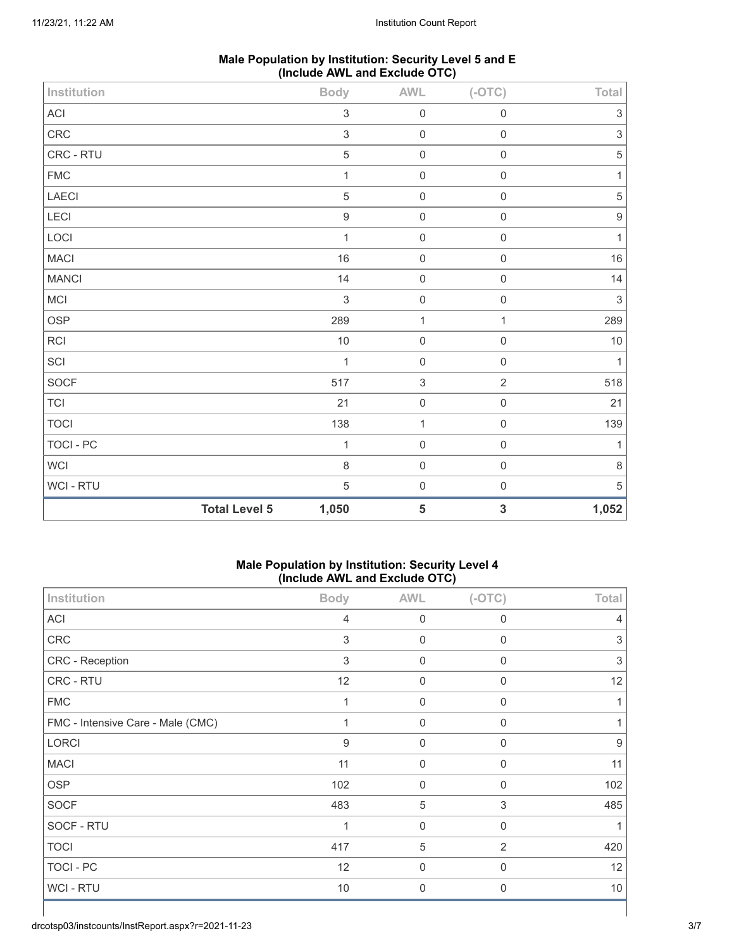| Male Population by Institution: Security Level 5 and E |  |
|--------------------------------------------------------|--|
| (Include AWL and Exclude OTC)                          |  |

| Institution  |                      | <b>Body</b>               | AWL                       | $(-OTC)$     | Total                     |
|--------------|----------------------|---------------------------|---------------------------|--------------|---------------------------|
| ACI          |                      | $\ensuremath{\mathsf{3}}$ | $\mathbf 0$               | $\mathbf 0$  | $\ensuremath{\mathsf{3}}$ |
| ${\sf CRC}$  |                      | $\sqrt{3}$                | $\mathbf 0$               | $\mathbf 0$  | $\ensuremath{\mathsf{3}}$ |
| CRC - RTU    |                      | $\,$ 5 $\,$               | $\mathbf 0$               | $\mathbf 0$  | $\,$ 5 $\,$               |
| ${\sf FMC}$  |                      | $\mathbf{1}$              | $\mathbf 0$               | $\mathbf 0$  | $\mathbf{1}$              |
| LAECI        |                      | $\mathbf 5$               | $\mathbf 0$               | $\mathbf 0$  | $\,$ 5 $\,$               |
| LECI         |                      | $\boldsymbol{9}$          | $\mathbf 0$               | $\mathbf 0$  | $\boldsymbol{9}$          |
| LOCI         |                      | $\mathbf{1}$              | $\mathbf 0$               | $\mathbf 0$  | $\mathbf{1}$              |
| <b>MACI</b>  |                      | 16                        | $\mathbf 0$               | $\mathbf 0$  | $16\,$                    |
| <b>MANCI</b> |                      | 14                        | $\mathbf 0$               | $\mathbf 0$  | 14                        |
| MCI          |                      | 3                         | $\mathbf 0$               | $\mathbf 0$  | $\sqrt{3}$                |
| OSP          |                      | 289                       | $\mathbf{1}$              | $\mathbf{1}$ | 289                       |
| <b>RCI</b>   |                      | $10$                      | $\mathbf 0$               | $\mathbf 0$  | $10$                      |
| SCI          |                      | $\mathbf{1}$              | $\mathbf 0$               | $\mathbf 0$  | $\mathbf{1}$              |
| SOCF         |                      | 517                       | $\ensuremath{\mathsf{3}}$ | $\sqrt{2}$   | 518                       |
| TCI          |                      | 21                        | $\mathbf 0$               | $\mathbf 0$  | 21                        |
| <b>TOCI</b>  |                      | 138                       | $\mathbf{1}$              | $\mathbf 0$  | 139                       |
| TOCI - PC    |                      | $\mathbf{1}$              | $\mathbf 0$               | $\mathbf 0$  | $\mathbf{1}$              |
| WCI          |                      | 8                         | $\mathbf 0$               | $\mathbf 0$  | $\,8\,$                   |
| WCI - RTU    |                      | $\mathbf 5$               | $\mathbf 0$               | $\mathbf 0$  | $\,$ 5 $\,$               |
|              | <b>Total Level 5</b> | 1,050                     | $\sqrt{5}$                | $\mathbf 3$  | 1,052                     |

## **Male Population by Institution: Security Level 4 (Include AWL and Exclude OTC)**

| Institution                       | ,<br><b>Body</b> | <b>AWL</b>          | ,<br>$(-OTC)$  | <b>Total</b>   |
|-----------------------------------|------------------|---------------------|----------------|----------------|
| ACI                               | 4                | $\boldsymbol{0}$    | $\mathbf 0$    | $\overline{4}$ |
| CRC                               | 3                | $\boldsymbol{0}$    | 0              | 3              |
| CRC - Reception                   | 3                | $\mathsf{O}\xspace$ | 0              | 3              |
| CRC - RTU                         | 12               | 0                   | 0              | 12             |
| <b>FMC</b>                        | 1                | $\mathbf 0$         | $\mathbf 0$    | $\mathbf 1$    |
| FMC - Intensive Care - Male (CMC) | 1                | $\mathbf{0}$        | $\mathbf{0}$   | 1              |
| LORCI                             | 9                | $\mathbf 0$         | 0              | 9              |
| <b>MACI</b>                       | 11               | $\mathbf 0$         | $\mathbf{0}$   | 11             |
| OSP                               | 102              | $\mathbf 0$         | 0              | 102            |
| <b>SOCF</b>                       | 483              | 5                   | 3              | 485            |
| SOCF - RTU                        |                  | $\boldsymbol{0}$    | 0              | 1              |
| <b>TOCI</b>                       | 417              | 5                   | $\overline{2}$ | 420            |
| TOCI - PC                         | 12               | 0                   | 0              | 12             |
| WCI - RTU                         | 10               | 0                   | $\mathbf{0}$   | $10$           |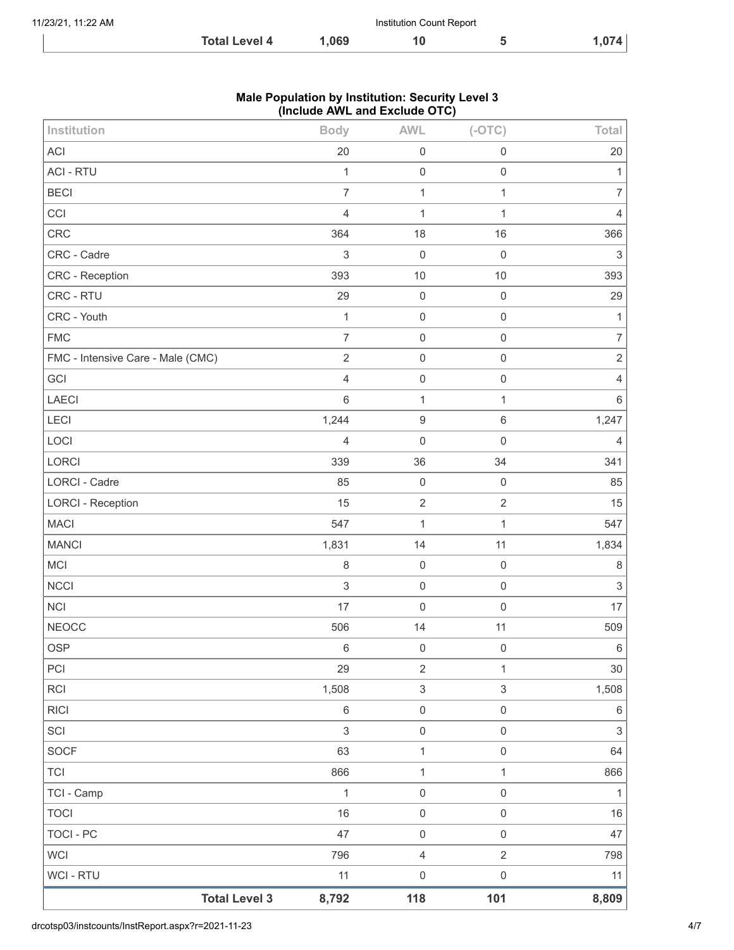| 11/23/21, 11:22 AM |                      |       | Institution Count Report |       |
|--------------------|----------------------|-------|--------------------------|-------|
|                    | <b>Total Level 4</b> | 1.069 |                          | 1,074 |

## **Male Population by Institution: Security Level 3 (Include AWL and Exclude OTC)**

| Institution                       | <b>Body</b>    | <b>AWL</b>                | $(-OTC)$                  | Total            |
|-----------------------------------|----------------|---------------------------|---------------------------|------------------|
| <b>ACI</b>                        | 20             | $\mathbf 0$               | $\mathbf 0$               | 20               |
| <b>ACI - RTU</b>                  | $\mathbf{1}$   | $\mathbf 0$               | $\mathbf 0$               | $\mathbf{1}$     |
| <b>BECI</b>                       | $\overline{7}$ | $\mathbf{1}$              | $\mathbf{1}$              | $\boldsymbol{7}$ |
| CCI                               | $\overline{4}$ | $\mathbf{1}$              | $\mathbf{1}$              | $\overline{4}$   |
| CRC                               | 364            | 18                        | 16                        | 366              |
| CRC - Cadre                       | 3              | $\mathbf 0$               | $\mathbf 0$               | $\sqrt{3}$       |
| CRC - Reception                   | 393            | 10                        | 10                        | 393              |
| CRC - RTU                         | 29             | $\mathbf 0$               | $\mathbf 0$               | 29               |
| CRC - Youth                       | $\mathbf{1}$   | $\mathbf 0$               | $\mathbf 0$               | $\mathbf{1}$     |
| <b>FMC</b>                        | $\overline{7}$ | $\mathbf 0$               | $\mathbf 0$               | $\boldsymbol{7}$ |
| FMC - Intensive Care - Male (CMC) | $\sqrt{2}$     | $\mathbf 0$               | $\mathbf 0$               | $\sqrt{2}$       |
| GCI                               | $\overline{4}$ | $\mathbf 0$               | $\mathbf 0$               | $\overline{4}$   |
| LAECI                             | $\,6\,$        | $\mathbf{1}$              | $\mathbf 1$               | $\,6\,$          |
| LECI                              | 1,244          | $\boldsymbol{9}$          | $\,6\,$                   | 1,247            |
| LOCI                              | $\overline{4}$ | $\mathbf 0$               | $\mathbf 0$               | $\overline{4}$   |
| LORCI                             | 339            | 36                        | 34                        | 341              |
| <b>LORCI - Cadre</b>              | 85             | $\mathbf 0$               | $\mathbf 0$               | 85               |
| <b>LORCI - Reception</b>          | 15             | $\sqrt{2}$                | $\sqrt{2}$                | 15               |
| <b>MACI</b>                       | 547            | $\mathbf{1}$              | $\mathbf{1}$              | 547              |
| <b>MANCI</b>                      | 1,831          | 14                        | 11                        | 1,834            |
| MCI                               | $\,8\,$        | $\mathbf 0$               | $\mathbf 0$               | $\,8\,$          |
| <b>NCCI</b>                       | $\sqrt{3}$     | $\mathbf 0$               | $\mathbf 0$               | $\sqrt{3}$       |
| <b>NCI</b>                        | 17             | $\mathbf 0$               | $\mathbf 0$               | 17               |
| <b>NEOCC</b>                      | 506            | 14                        | 11                        | 509              |
| <b>OSP</b>                        | $\,$ 6 $\,$    | $\mathbf 0$               | $\mathbf 0$               | $\,6\,$          |
| PCI                               | 29             | $\sqrt{2}$                | 1                         | $30\,$           |
| <b>RCI</b>                        | 1,508          | $\ensuremath{\mathsf{3}}$ | $\ensuremath{\mathsf{3}}$ | 1,508            |
| R C                               | $\,6\,$        | $\mathbf 0$               | $\mathbf 0$               | $\,6\,$          |
| SCI                               | $\sqrt{3}$     | $\mathbf 0$               | $\mathsf{O}\xspace$       | $\sqrt{3}$       |
| SOCF                              | 63             | $\mathbf 1$               | $\mathbf 0$               | 64               |
| TCI                               | 866            | $\mathbf{1}$              | $\mathbf{1}$              | 866              |
| TCI - Camp                        | $\mathbf{1}$   | $\mathbf 0$               | $\mathbf 0$               | $\mathbf{1}$     |
| <b>TOCI</b>                       | 16             | $\mathbf 0$               | $\mathbf 0$               | $16\,$           |
| TOCI - PC                         | 47             | $\mathbf 0$               | $\mathbf 0$               | 47               |
| <b>WCI</b>                        | 796            | $\overline{4}$            | $\sqrt{2}$                | 798              |
| WCI - RTU                         | 11             | $\mathbf 0$               | $\mathbf 0$               | 11               |
| <b>Total Level 3</b>              | 8,792          | 118                       | 101                       | 8,809            |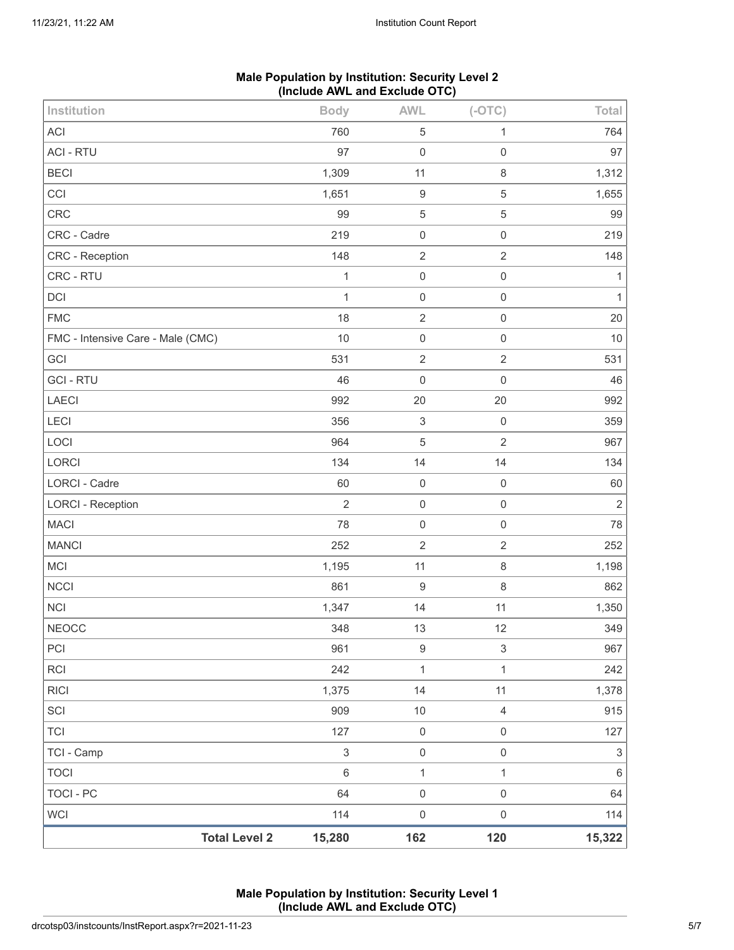|                                   | Include Arra and Exclude 010) |                           |                     |                           |
|-----------------------------------|-------------------------------|---------------------------|---------------------|---------------------------|
| Institution                       | <b>Body</b>                   | <b>AWL</b>                | $(-OTC)$            | Total                     |
| <b>ACI</b>                        | 760                           | $\mathbf 5$               | 1                   | 764                       |
| <b>ACI - RTU</b>                  | 97                            | $\boldsymbol{0}$          | $\mathsf 0$         | 97                        |
| <b>BECI</b>                       | 1,309                         | 11                        | $\,8\,$             | 1,312                     |
| CCI                               | 1,651                         | $\boldsymbol{9}$          | $\,$ 5 $\,$         | 1,655                     |
| CRC                               | 99                            | $\,$ 5 $\,$               | $\sqrt{5}$          | 99                        |
| CRC - Cadre                       | 219                           | $\boldsymbol{0}$          | $\mathsf 0$         | 219                       |
| CRC - Reception                   | 148                           | $\sqrt{2}$                | $\sqrt{2}$          | 148                       |
| CRC - RTU                         | $\mathbf{1}$                  | $\boldsymbol{0}$          | $\mathsf 0$         | 1                         |
| DCI                               | $\mathbf{1}$                  | $\mathsf{O}\xspace$       | $\mathsf 0$         | $\mathbf{1}$              |
| <b>FMC</b>                        | 18                            | $\sqrt{2}$                | $\mathsf 0$         | 20                        |
| FMC - Intensive Care - Male (CMC) | 10                            | $\mathsf{O}\xspace$       | $\mathsf 0$         | $10$                      |
| GCI                               | 531                           | $\sqrt{2}$                | $\sqrt{2}$          | 531                       |
| <b>GCI-RTU</b>                    | 46                            | $\mathbf 0$               | $\mathsf{O}\xspace$ | 46                        |
| LAECI                             | 992                           | 20                        | 20                  | 992                       |
| LECI                              | 356                           | $\ensuremath{\mathsf{3}}$ | $\mathbf 0$         | 359                       |
| LOCI                              | 964                           | $\sqrt{5}$                | $\sqrt{2}$          | 967                       |
| LORCI                             | 134                           | 14                        | 14                  | 134                       |
| LORCI - Cadre                     | 60                            | $\mathbf 0$               | $\mathbf 0$         | 60                        |
| <b>LORCI - Reception</b>          | $\overline{2}$                | $\mathbf 0$               | $\mathsf 0$         | $\overline{2}$            |
| <b>MACI</b>                       | 78                            | $\mathsf{O}\xspace$       | $\,0\,$             | 78                        |
| <b>MANCI</b>                      | 252                           | $\sqrt{2}$                | $\sqrt{2}$          | 252                       |
| MCI                               | 1,195                         | 11                        | $\,8\,$             | 1,198                     |
| <b>NCCI</b>                       | 861                           | $\boldsymbol{9}$          | $\,8\,$             | 862                       |
| <b>NCI</b>                        | 1,347                         | 14                        | 11                  | 1,350                     |
| <b>NEOCC</b>                      | 348                           | 13                        | 12                  | 349                       |
| PCI                               | 961                           | $\boldsymbol{9}$          | $\sqrt{3}$          | 967                       |
| RCI                               | 242                           | $\mathbf{1}$              | 1                   | 242                       |
| <b>RICI</b>                       | 1,375                         | 14                        | 11                  | 1,378                     |
| SCI                               | 909                           | $10$                      | $\sqrt{4}$          | 915                       |
| <b>TCI</b>                        | 127                           | $\mathbf 0$               | $\mathsf 0$         | 127                       |
| TCI - Camp                        | $\,$ 3 $\,$                   | $\mathsf{O}\xspace$       | $\mathsf 0$         | $\ensuremath{\mathsf{3}}$ |
| <b>TOCI</b>                       | $\,6\,$                       | $\mathbf{1}$              | 1                   | $\,6\,$                   |
| <b>TOCI - PC</b>                  | 64                            | $\mathsf{O}\xspace$       | $\mathsf 0$         | 64                        |
| <b>WCI</b>                        | 114                           | $\boldsymbol{0}$          | $\mathsf 0$         | 114                       |
| <b>Total Level 2</b>              | 15,280                        | 162                       | 120                 | 15,322                    |

# **Male Population by Institution: Security Level 2 (Include AWL and Exclude OTC)**

**Male Population by Institution: Security Level 1 (Include AWL and Exclude OTC)**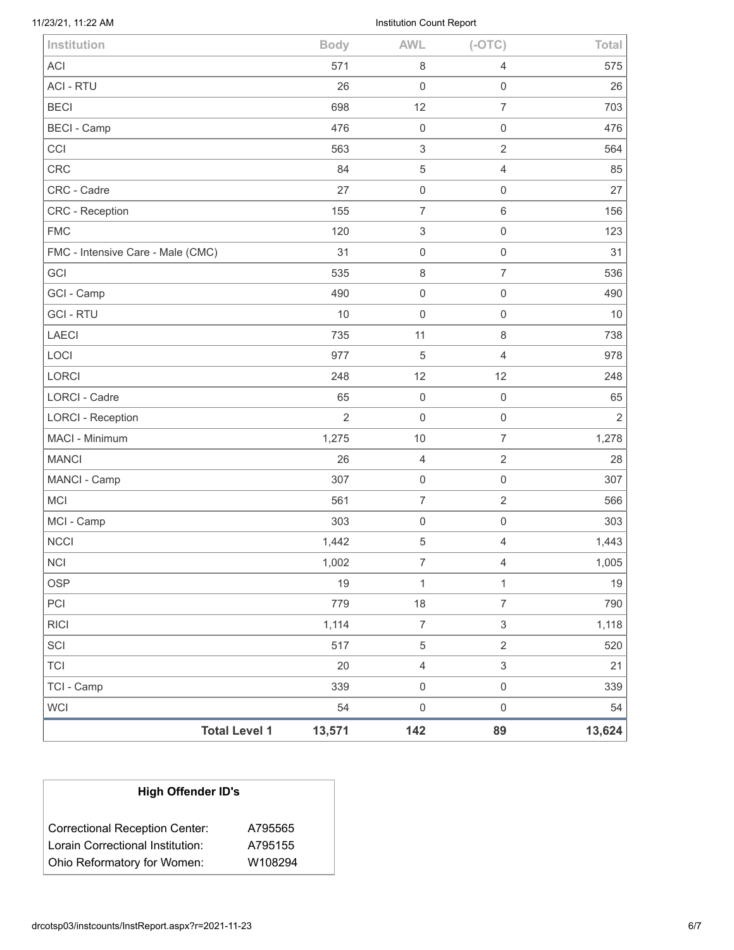Institution Count Report

| <b>Total Level 1</b>              | 13,571         | 142                       | 89                       | 13,624         |
|-----------------------------------|----------------|---------------------------|--------------------------|----------------|
| <b>WCI</b>                        | 54             | $\mathsf{O}\xspace$       | $\mathsf 0$              | 54             |
| TCI - Camp                        | 339            | $\mathbf 0$               | $\mathsf{O}\xspace$      | 339            |
| <b>TCI</b>                        | 20             | $\overline{\mathbf{4}}$   | $\sqrt{3}$               | 21             |
| SCI                               | 517            | $\,$ 5 $\,$               | $\overline{2}$           | 520            |
| <b>RICI</b>                       | 1,114          | $\boldsymbol{7}$          | $\,$ 3 $\,$              | 1,118          |
| PCI                               | 779            | 18                        | $\overline{7}$           | 790            |
| <b>OSP</b>                        | 19             | $\mathbf{1}$              | $\mathbf{1}$             | $19$           |
| <b>NCI</b>                        | 1,002          | $\boldsymbol{7}$          | 4                        | 1,005          |
| <b>NCCI</b>                       | 1,442          | 5                         | 4                        | 1,443          |
| MCI - Camp                        | 303            | $\boldsymbol{0}$          | $\mathbf 0$              | 303            |
| <b>MCI</b>                        | 561            | $\overline{7}$            | $\overline{2}$           | 566            |
| MANCI - Camp                      | 307            | $\mathsf 0$               | $\mathsf 0$              | 307            |
| <b>MANCI</b>                      | 26             | 4                         | $\overline{2}$           | 28             |
| MACI - Minimum                    | 1,275          | $10$                      | $\overline{7}$           | 1,278          |
| <b>LORCI - Reception</b>          | $\overline{2}$ | $\boldsymbol{0}$          | $\mathsf 0$              | $\overline{2}$ |
| <b>LORCI - Cadre</b>              | 65             | $\mathbf 0$               | $\mathsf 0$              | 65             |
| <b>LORCI</b>                      | 248            | 12                        | 12                       | 248            |
| LOCI                              | 977            | 5                         | $\overline{4}$           | 978            |
| <b>LAECI</b>                      | 735            | 11                        | $\,8\,$                  | 738            |
| <b>GCI-RTU</b>                    | 10             | $\mathbf 0$               | $\mathsf 0$              | 10             |
| GCI - Camp                        | 490            | $\mathsf{O}\xspace$       | $\mathsf 0$              | 490            |
| GCI                               | 535            | 8                         | $\overline{7}$           | 536            |
| FMC - Intensive Care - Male (CMC) | 31             | $\mathsf 0$               | $\mathsf{O}\xspace$      | 31             |
| <b>FMC</b>                        | 120            | 3                         | $\mathbf 0$              | 123            |
| CRC - Reception                   | 155            | $\overline{7}$            | $\,6\,$                  | 156            |
| CRC - Cadre                       | 27             | $\mathsf{O}\xspace$       | $\mathsf{O}\xspace$      | 27             |
| CRC                               | 84             | 5                         | $\sqrt{4}$               | 85             |
| CCI                               | 563            | $\ensuremath{\mathsf{3}}$ | $\overline{2}$           | 564            |
| <b>BECI - Camp</b>                | 476            | $\mathbf 0$               | $\mathsf 0$              | 476            |
| <b>BECI</b>                       | 698            | 12                        | $\overline{7}$           | 703            |
| <b>ACI - RTU</b>                  | 571<br>26      | 8<br>$\mathbf 0$          | 4<br>$\mathsf{O}\xspace$ | 575<br>26      |
| <b>ACI</b>                        | <b>Body</b>    |                           |                          | Total          |
| Institution                       |                | <b>AWL</b>                | $(-OTC)$                 |                |

| <b>High Offender ID's</b>                                                 |                    |  |  |  |
|---------------------------------------------------------------------------|--------------------|--|--|--|
| <b>Correctional Reception Center:</b><br>Lorain Correctional Institution: | A795565<br>A795155 |  |  |  |
| Ohio Reformatory for Women:                                               | W108294            |  |  |  |